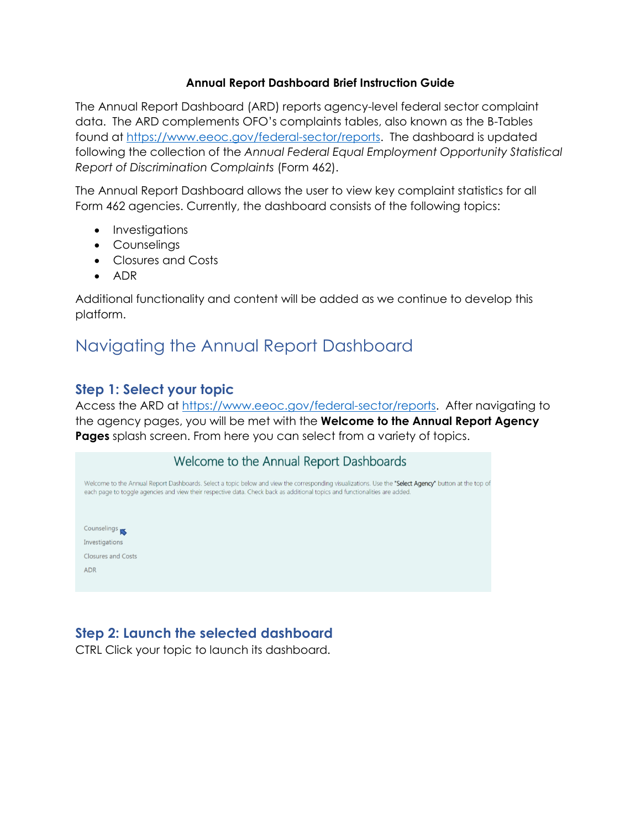#### **Annual Report Dashboard Brief Instruction Guide**

The Annual Report Dashboard (ARD) reports agency-level federal sector complaint data. The ARD complements OFO's complaints tables, also known as the B-Tables found at [https://www.eeoc.gov/federal-sector/reports.](https://www.eeoc.gov/federal-sector/reports) The dashboard is updated following the collection of the *Annual Federal Equal Employment Opportunity Statistical Report of Discrimination Complaints* (Form 462).

The Annual Report Dashboard allows the user to view key complaint statistics for all Form 462 agencies. Currently, the dashboard consists of the following topics:

- Investigations
- Counselings
- Closures and Costs
- ADR

Additional functionality and content will be added as we continue to develop this platform.

# Navigating the Annual Report Dashboard

#### **Step 1: Select your topic**

Access the ARD at [https://www.eeoc.gov/federal-sector/reports.](https://www.eeoc.gov/federal-sector/reports) After navigating to the agency pages, you will be met with the **Welcome to the Annual Report Agency Pages** splash screen. From here you can select from a variety of topics.

| Welcome to the Annual Report Dashboards                                                                                                                                                                                                                                              |
|--------------------------------------------------------------------------------------------------------------------------------------------------------------------------------------------------------------------------------------------------------------------------------------|
| Welcome to the Annual Report Dashboards. Select a topic below and view the corresponding visualizations. Use the "Select Agency" button at the top of<br>each page to toggle agencies and view their respective data. Check back as additional topics and functionalities are added. |
|                                                                                                                                                                                                                                                                                      |
| Counselings                                                                                                                                                                                                                                                                          |
| Investigations                                                                                                                                                                                                                                                                       |
| <b>Closures and Costs</b>                                                                                                                                                                                                                                                            |
| <b>ADR</b>                                                                                                                                                                                                                                                                           |
|                                                                                                                                                                                                                                                                                      |

### **Step 2: Launch the selected dashboard**

CTRL Click your topic to launch its dashboard.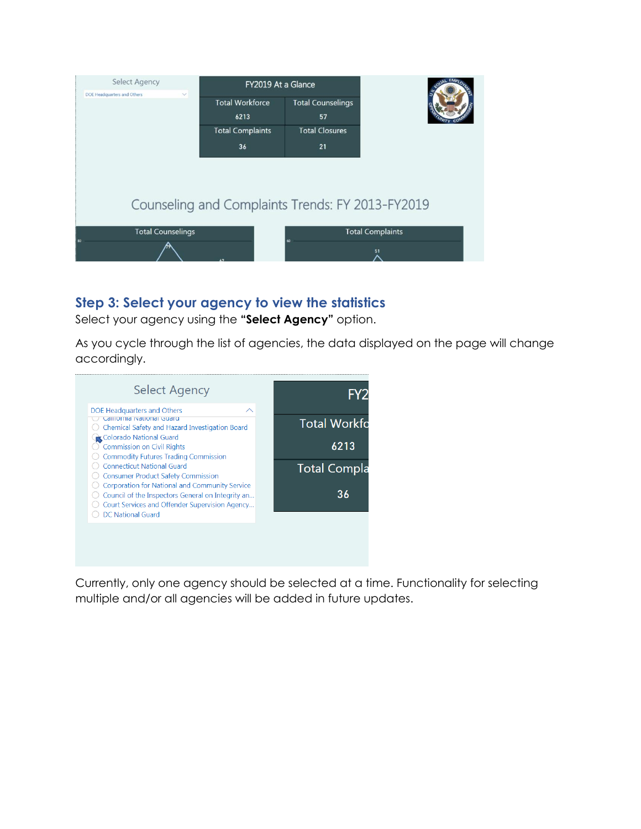

### **Step 3: Select your agency to view the statistics**

Select your agency using the **"Select Agency"** option.

As you cycle through the list of agencies, the data displayed on the page will change accordingly.



Currently, only one agency should be selected at a time. Functionality for selecting multiple and/or all agencies will be added in future updates.